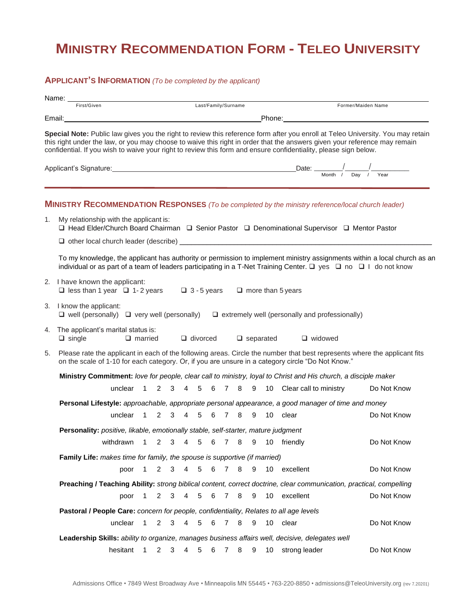## **MINISTRY RECOMMENDATION FORM - TELEO UNIVERSITY**

## **APPLICANT'S INFORMATION** *(To be completed by the applicant)*

|                                                                                                                                                | Name:                                                                                                                                                                                                                          |                                    |                |   |                     |                                                                                                                                                                                                                                     |                 |   |                     |   |      |    |                                                                                                                                                                                                                                                                                                                                                                                  |  |  |
|------------------------------------------------------------------------------------------------------------------------------------------------|--------------------------------------------------------------------------------------------------------------------------------------------------------------------------------------------------------------------------------|------------------------------------|----------------|---|---------------------|-------------------------------------------------------------------------------------------------------------------------------------------------------------------------------------------------------------------------------------|-----------------|---|---------------------|---|------|----|----------------------------------------------------------------------------------------------------------------------------------------------------------------------------------------------------------------------------------------------------------------------------------------------------------------------------------------------------------------------------------|--|--|
|                                                                                                                                                | First/Given                                                                                                                                                                                                                    |                                    |                |   |                     |                                                                                                                                                                                                                                     |                 |   | Last/Family/Surname |   |      |    | Former/Maiden Name                                                                                                                                                                                                                                                                                                                                                               |  |  |
|                                                                                                                                                |                                                                                                                                                                                                                                |                                    |                |   |                     |                                                                                                                                                                                                                                     |                 |   |                     |   |      |    |                                                                                                                                                                                                                                                                                                                                                                                  |  |  |
|                                                                                                                                                |                                                                                                                                                                                                                                |                                    |                |   |                     |                                                                                                                                                                                                                                     |                 |   |                     |   |      |    | Special Note: Public law gives you the right to review this reference form after you enroll at Teleo University. You may retain<br>this right under the law, or you may choose to waive this right in order that the answers given your reference may remain<br>confidential. If you wish to waive your right to review this form and ensure confidentiality, please sign below. |  |  |
|                                                                                                                                                |                                                                                                                                                                                                                                |                                    |                |   |                     | Applicant's Signature: <u>Containing the Contractor of Benedicts Contractors</u> Date: Contractor Contractors Contractors Contractors Contractors Contractors Contractors Contractors Contractors Contractors Contractors Contracto |                 |   |                     |   |      |    |                                                                                                                                                                                                                                                                                                                                                                                  |  |  |
|                                                                                                                                                |                                                                                                                                                                                                                                |                                    |                |   |                     |                                                                                                                                                                                                                                     |                 |   |                     |   |      |    |                                                                                                                                                                                                                                                                                                                                                                                  |  |  |
|                                                                                                                                                |                                                                                                                                                                                                                                |                                    |                |   |                     |                                                                                                                                                                                                                                     |                 |   |                     |   |      |    | <b>MINISTRY RECOMMENDATION RESPONSES</b> (To be completed by the ministry reference/local church leader)                                                                                                                                                                                                                                                                         |  |  |
| My relationship with the applicant is:<br>1.<br>□ Head Elder/Church Board Chairman □ Senior Pastor □ Denominational Supervisor □ Mentor Pastor |                                                                                                                                                                                                                                |                                    |                |   |                     |                                                                                                                                                                                                                                     |                 |   |                     |   |      |    |                                                                                                                                                                                                                                                                                                                                                                                  |  |  |
|                                                                                                                                                |                                                                                                                                                                                                                                |                                    |                |   |                     |                                                                                                                                                                                                                                     |                 |   |                     |   |      |    |                                                                                                                                                                                                                                                                                                                                                                                  |  |  |
|                                                                                                                                                |                                                                                                                                                                                                                                |                                    |                |   |                     |                                                                                                                                                                                                                                     |                 |   |                     |   |      |    | To my knowledge, the applicant has authority or permission to implement ministry assignments within a local church as an<br>individual or as part of a team of leaders participating in a T-Net Training Center. $\Box$ yes $\Box$ no $\Box$ I do not know                                                                                                                       |  |  |
|                                                                                                                                                | 2. I have known the applicant:<br>□ less than 1 year □ 1-2 years □ 3-5 years □ more than 5 years                                                                                                                               |                                    |                |   |                     |                                                                                                                                                                                                                                     |                 |   |                     |   |      |    |                                                                                                                                                                                                                                                                                                                                                                                  |  |  |
|                                                                                                                                                | 3. I know the applicant:                                                                                                                                                                                                       |                                    |                |   |                     |                                                                                                                                                                                                                                     |                 |   |                     |   |      |    | $\Box$ well (personally) $\Box$ very well (personally) $\Box$ extremely well (personally and professionally)                                                                                                                                                                                                                                                                     |  |  |
|                                                                                                                                                | 4. The applicant's marital status is:<br>$\Box$ single                                                                                                                                                                         |                                    | $\Box$ married |   |                     |                                                                                                                                                                                                                                     |                 |   | $\Box$ divorced     |   |      |    | $\Box$ separated<br>$\Box$ widowed                                                                                                                                                                                                                                                                                                                                               |  |  |
| 5.                                                                                                                                             | Please rate the applicant in each of the following areas. Circle the number that best represents where the applicant fits<br>on the scale of 1-10 for each category. Or, if you are unsure in a category circle "Do Not Know." |                                    |                |   |                     |                                                                                                                                                                                                                                     |                 |   |                     |   |      |    |                                                                                                                                                                                                                                                                                                                                                                                  |  |  |
|                                                                                                                                                |                                                                                                                                                                                                                                |                                    |                |   |                     |                                                                                                                                                                                                                                     |                 |   |                     |   |      |    | Ministry Commitment: love for people, clear call to ministry, loyal to Christ and His church, a disciple maker                                                                                                                                                                                                                                                                   |  |  |
|                                                                                                                                                |                                                                                                                                                                                                                                | unclear 1                          |                |   |                     |                                                                                                                                                                                                                                     |                 |   |                     |   |      |    | 2 3 4 5 6 7 8 9 10 Clear call to ministry<br>Do Not Know                                                                                                                                                                                                                                                                                                                         |  |  |
|                                                                                                                                                |                                                                                                                                                                                                                                |                                    |                |   |                     |                                                                                                                                                                                                                                     |                 |   |                     |   |      |    | Personal Lifestyle: approachable, appropriate personal appearance, a good manager of time and money                                                                                                                                                                                                                                                                              |  |  |
|                                                                                                                                                |                                                                                                                                                                                                                                | unclear 1 2 3 4 5 6 7 8 9 10 clear |                |   |                     |                                                                                                                                                                                                                                     |                 |   |                     |   |      |    | Do Not Know                                                                                                                                                                                                                                                                                                                                                                      |  |  |
|                                                                                                                                                | Personality: positive, likable, emotionally stable, self-starter, mature judgment                                                                                                                                              |                                    |                |   |                     |                                                                                                                                                                                                                                     |                 |   |                     |   |      |    |                                                                                                                                                                                                                                                                                                                                                                                  |  |  |
|                                                                                                                                                |                                                                                                                                                                                                                                | withdrawn                          | $\mathbf{1}$   | 2 | $\mathbf{3}$        | 4                                                                                                                                                                                                                                   | 5               |   |                     |   | 6789 |    | 10 friendly<br>Do Not Know                                                                                                                                                                                                                                                                                                                                                       |  |  |
|                                                                                                                                                |                                                                                                                                                                                                                                |                                    |                |   |                     |                                                                                                                                                                                                                                     |                 |   |                     |   |      |    |                                                                                                                                                                                                                                                                                                                                                                                  |  |  |
|                                                                                                                                                | Family Life: makes time for family, the spouse is supportive (if married)                                                                                                                                                      | poor                               |                | 2 | 3                   | 4                                                                                                                                                                                                                                   | 5               | 6 | 7                   | 8 | 9    | 10 | Do Not Know<br>excellent                                                                                                                                                                                                                                                                                                                                                         |  |  |
| Preaching / Teaching Ability: strong biblical content, correct doctrine, clear communication, practical, compelling                            |                                                                                                                                                                                                                                |                                    |                |   |                     |                                                                                                                                                                                                                                     |                 |   |                     |   |      |    |                                                                                                                                                                                                                                                                                                                                                                                  |  |  |
|                                                                                                                                                |                                                                                                                                                                                                                                | poor                               | 1              | 2 | 3                   | $\overline{4}$                                                                                                                                                                                                                      | 5               |   | 6 7                 | 8 | 9    |    | 10 excellent<br>Do Not Know                                                                                                                                                                                                                                                                                                                                                      |  |  |
| Pastoral / People Care: concern for people, confidentiality, Relates to all age levels                                                         |                                                                                                                                                                                                                                |                                    |                |   |                     |                                                                                                                                                                                                                                     |                 |   |                     |   |      |    |                                                                                                                                                                                                                                                                                                                                                                                  |  |  |
|                                                                                                                                                |                                                                                                                                                                                                                                | unclear 1                          |                |   | $2 \quad 3 \quad 4$ |                                                                                                                                                                                                                                     | $5\phantom{.0}$ |   | 6 7 8               |   | 9    | 10 | clear<br>Do Not Know                                                                                                                                                                                                                                                                                                                                                             |  |  |
|                                                                                                                                                | Leadership Skills: ability to organize, manages business affairs well, decisive, delegates well                                                                                                                                |                                    |                |   |                     |                                                                                                                                                                                                                                     |                 |   |                     |   |      |    |                                                                                                                                                                                                                                                                                                                                                                                  |  |  |
|                                                                                                                                                |                                                                                                                                                                                                                                | hesitant                           | $\mathbf{1}$   |   | $2 \quad 3$         | $4 \quad$                                                                                                                                                                                                                           | $5\overline{)}$ |   | 6 7 8               |   | 9    | 10 | Do Not Know<br>strong leader                                                                                                                                                                                                                                                                                                                                                     |  |  |
|                                                                                                                                                |                                                                                                                                                                                                                                |                                    |                |   |                     |                                                                                                                                                                                                                                     |                 |   |                     |   |      |    |                                                                                                                                                                                                                                                                                                                                                                                  |  |  |